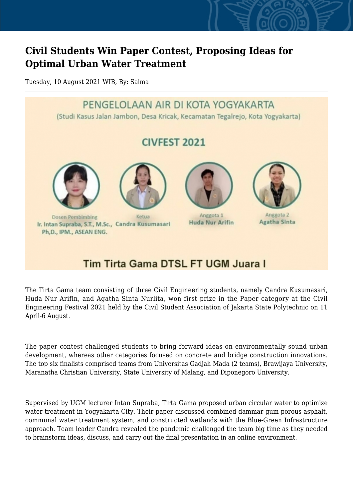## **Civil Students Win Paper Contest, Proposing Ideas for Optimal Urban Water Treatment**

Tuesday, 10 August 2021 WIB, By: Salma



## Tim Tirta Gama DTSL FT UGM Juara I

The Tirta Gama team consisting of three Civil Engineering students, namely Candra Kusumasari, Huda Nur Arifin, and Agatha Sinta Nurlita, won first prize in the Paper category at the Civil Engineering Festival 2021 held by the Civil Student Association of Jakarta State Polytechnic on 11 April-6 August.

The paper contest challenged students to bring forward ideas on environmentally sound urban development, whereas other categories focused on concrete and bridge construction innovations. The top six finalists comprised teams from Universitas Gadjah Mada (2 teams), Brawijaya University, Maranatha Christian University, State University of Malang, and Diponegoro University.

Supervised by UGM lecturer Intan Supraba, Tirta Gama proposed urban circular water to optimize water treatment in Yogyakarta City. Their paper discussed combined dammar gum-porous asphalt, communal water treatment system, and constructed wetlands with the Blue-Green Infrastructure approach. Team leader Candra revealed the pandemic challenged the team big time as they needed to brainstorm ideas, discuss, and carry out the final presentation in an online environment.